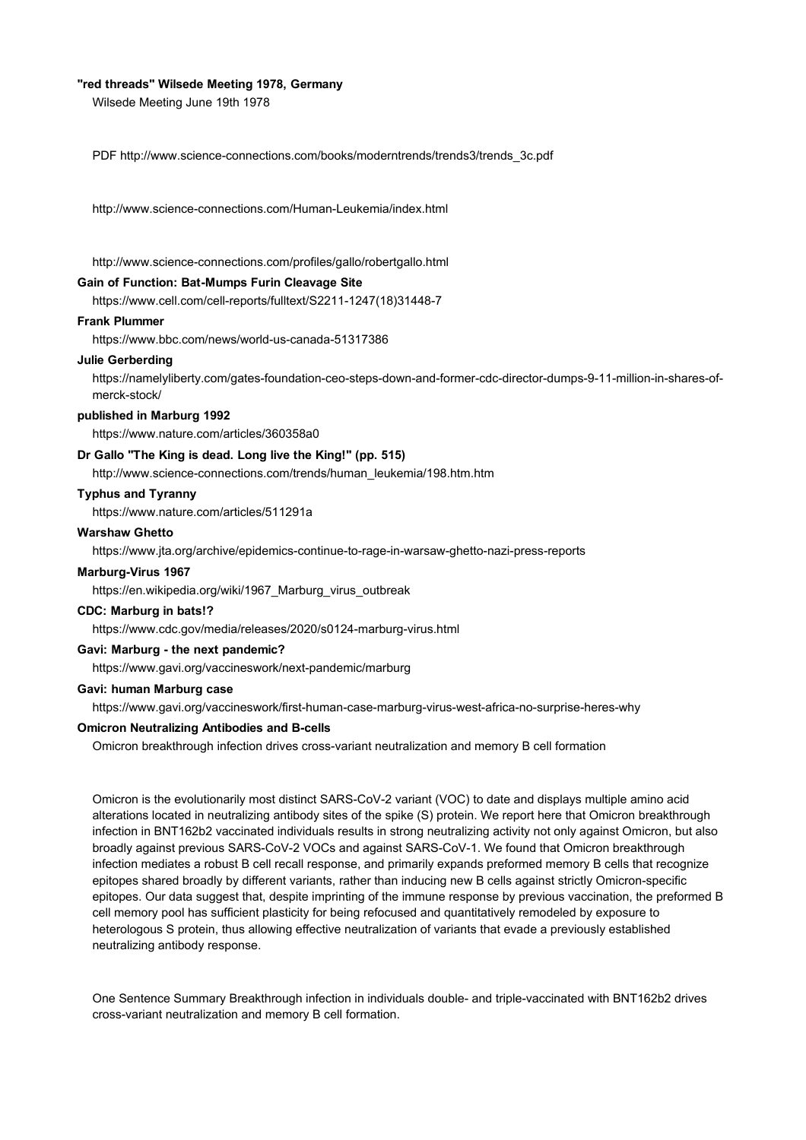# **"red threads" Wilsede Meeting 1978, Germany**

Wilsede Meeting June 19th 1978

PDF http://www.science-connections.com/books/moderntrends/trends3/trends\_3c.pdf

http://www.science-connections.com/Human-Leukemia/index.html

http://www.science-connections.com/profiles/gallo/robertgallo.html

# **Gain of Function: Bat-Mumps Furin Cleavage Site**

https://www.cell.com/cell-reports/fulltext/S2211-1247(18)31448-7

# **Frank Plummer**

https://www.bbc.com/news/world-us-canada-51317386

#### **Julie Gerberding**

https://namelyliberty.com/gates-foundation-ceo-steps-down-and-former-cdc-director-dumps-9-11-million-in-shares-ofmerck-stock/

#### **published in Marburg 1992**

https://www.nature.com/articles/360358a0

# **Dr Gallo "The King is dead. Long live the King!" (pp. 515)**

http://www.science-connections.com/trends/human\_leukemia/198.htm.htm

# **Typhus and Tyranny**

https://www.nature.com/articles/511291a

# **Warshaw Ghetto**

https://www.jta.org/archive/epidemics-continue-to-rage-in-warsaw-ghetto-nazi-press-reports

#### **Marburg-Virus 1967**

https://en.wikipedia.org/wiki/1967\_Marburg\_virus\_outbreak

## **CDC: Marburg in bats!?**

https://www.cdc.gov/media/releases/2020/s0124-marburg-virus.html

# **Gavi: Marburg - the next pandemic?**

https://www.gavi.org/vaccineswork/next-pandemic/marburg

# **Gavi: human Marburg case**

https://www.gavi.org/vaccineswork/first-human-case-marburg-virus-west-africa-no-surprise-heres-why

# **Omicron Neutralizing Antibodies and B-cells**

Omicron breakthrough infection drives cross-variant neutralization and memory B cell formation

Omicron is the evolutionarily most distinct SARS-CoV-2 variant (VOC) to date and displays multiple amino acid alterations located in neutralizing antibody sites of the spike (S) protein. We report here that Omicron breakthrough infection in BNT162b2 vaccinated individuals results in strong neutralizing activity not only against Omicron, but also broadly against previous SARS-CoV-2 VOCs and against SARS-CoV-1. We found that Omicron breakthrough infection mediates a robust B cell recall response, and primarily expands preformed memory B cells that recognize epitopes shared broadly by different variants, rather than inducing new B cells against strictly Omicron-specific epitopes. Our data suggest that, despite imprinting of the immune response by previous vaccination, the preformed B cell memory pool has sufficient plasticity for being refocused and quantitatively remodeled by exposure to heterologous S protein, thus allowing effective neutralization of variants that evade a previously established neutralizing antibody response.

One Sentence Summary Breakthrough infection in individuals double- and triple-vaccinated with BNT162b2 drives cross-variant neutralization and memory B cell formation.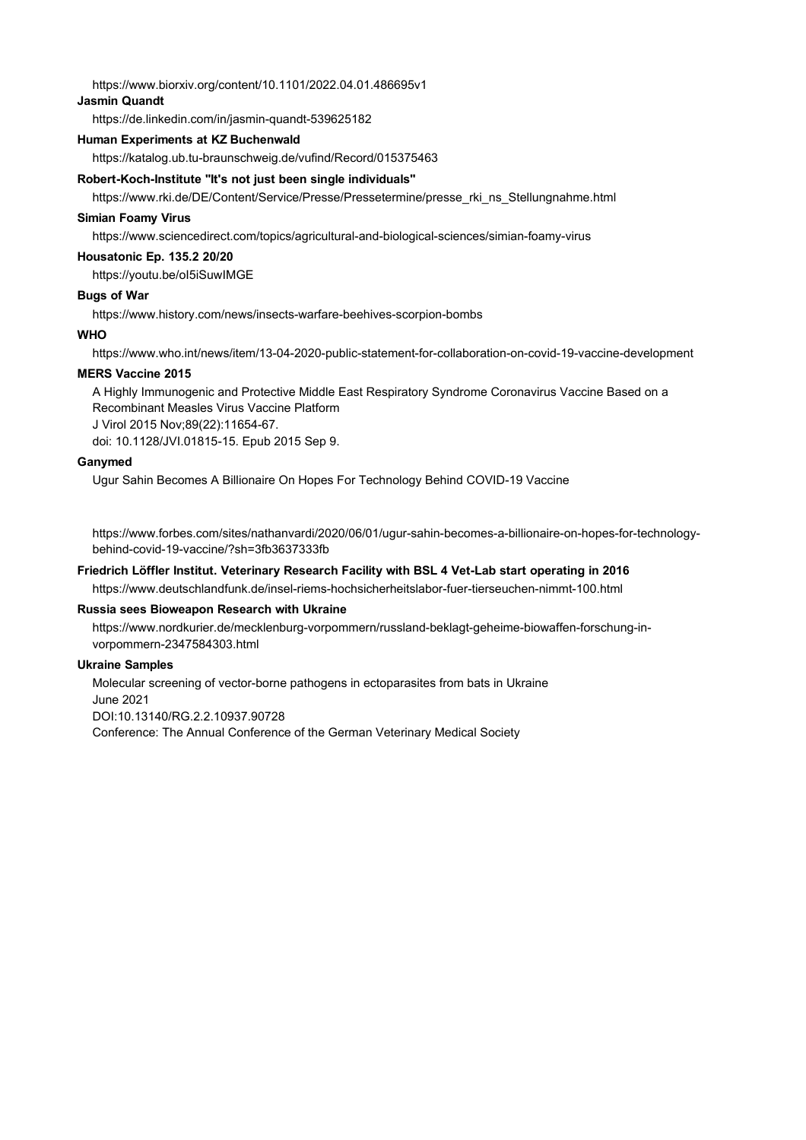https://www.biorxiv.org/content/10.1101/2022.04.01.486695v1

# **Jasmin Quandt**

https://de.linkedin.com/in/jasmin-quandt-539625182

## **Human Experiments at KZ Buchenwald**

https://katalog.ub.tu-braunschweig.de/vufind/Record/015375463

#### **Robert-Koch-Institute "It's not just been single individuals"**

https://www.rki.de/DE/Content/Service/Presse/Pressetermine/presse\_rki\_ns\_Stellungnahme.html

# **Simian Foamy Virus**

https://www.sciencedirect.com/topics/agricultural-and-biological-sciences/simian-foamy-virus

#### **Housatonic Ep. 135.2 20/20**

https://youtu.be/oI5iSuwIMGE

## **Bugs of War**

https://www.history.com/news/insects-warfare-beehives-scorpion-bombs

# **WHO**

https://www.who.int/news/item/13-04-2020-public-statement-for-collaboration-on-covid-19-vaccine-development

#### **MERS Vaccine 2015**

A Highly Immunogenic and Protective Middle East Respiratory Syndrome Coronavirus Vaccine Based on a Recombinant Measles Virus Vaccine Platform J Virol 2015 Nov;89(22):11654-67. doi: 10.1128/JVI.01815-15. Epub 2015 Sep 9.

#### **Ganymed**

Ugur Sahin Becomes A Billionaire On Hopes For Technology Behind COVID-19 Vaccine

https://www.forbes.com/sites/nathanvardi/2020/06/01/ugur-sahin-becomes-a-billionaire-on-hopes-for-technologybehind-covid-19-vaccine/?sh=3fb3637333fb

# **Friedrich Löffler Institut. Veterinary Research Facility with BSL 4 Vet-Lab start operating in 2016**

https://www.deutschlandfunk.de/insel-riems-hochsicherheitslabor-fuer-tierseuchen-nimmt-100.html

# **Russia sees Bioweapon Research with Ukraine**

https://www.nordkurier.de/mecklenburg-vorpommern/russland-beklagt-geheime-biowaffen-forschung-invorpommern-2347584303.html

# **Ukraine Samples**

Molecular screening of vector-borne pathogens in ectoparasites from bats in Ukraine June 2021 DOI:10.13140/RG.2.2.10937.90728 Conference: The Annual Conference of the German Veterinary Medical Society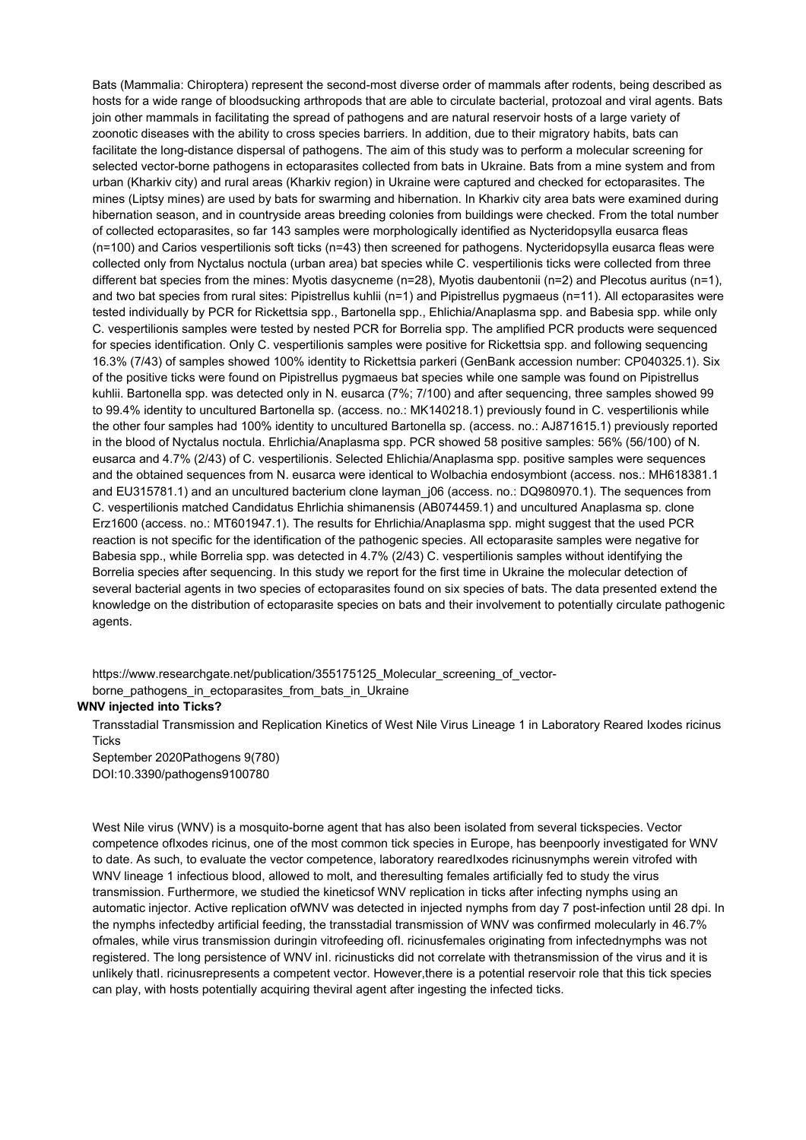Bats (Mammalia: Chiroptera) represent the second-most diverse order of mammals after rodents, being described as hosts for a wide range of bloodsucking arthropods that are able to circulate bacterial, protozoal and viral agents. Bats join other mammals in facilitating the spread of pathogens and are natural reservoir hosts of a large variety of zoonotic diseases with the ability to cross species barriers. In addition, due to their migratory habits, bats can facilitate the long-distance dispersal of pathogens. The aim of this study was to perform a molecular screening for selected vector-borne pathogens in ectoparasites collected from bats in Ukraine. Bats from a mine system and from urban (Kharkiv city) and rural areas (Kharkiv region) in Ukraine were captured and checked for ectoparasites. The mines (Liptsy mines) are used by bats for swarming and hibernation. In Kharkiv city area bats were examined during hibernation season, and in countryside areas breeding colonies from buildings were checked. From the total number of collected ectoparasites, so far 143 samples were morphologically identified as Nycteridopsylla eusarca fleas (n=100) and Carios vespertilionis soft ticks (n=43) then screened for pathogens. Nycteridopsylla eusarca fleas were collected only from Nyctalus noctula (urban area) bat species while C. vespertilionis ticks were collected from three different bat species from the mines: Myotis dasycneme (n=28), Myotis daubentonii (n=2) and Plecotus auritus (n=1), and two bat species from rural sites: Pipistrellus kuhlii (n=1) and Pipistrellus pygmaeus (n=11). All ectoparasites were tested individually by PCR for Rickettsia spp., Bartonella spp., Ehlichia/Anaplasma spp. and Babesia spp. while only C. vespertilionis samples were tested by nested PCR for Borrelia spp. The amplified PCR products were sequenced for species identification. Only C. vespertilionis samples were positive for Rickettsia spp. and following sequencing 16.3% (7/43) of samples showed 100% identity to Rickettsia parkeri (GenBank accession number: CP040325.1). Six of the positive ticks were found on Pipistrellus pygmaeus bat species while one sample was found on Pipistrellus kuhlii. Bartonella spp. was detected only in N. eusarca (7%; 7/100) and after sequencing, three samples showed 99 to 99.4% identity to uncultured Bartonella sp. (access. no.: MK140218.1) previously found in C. vespertilionis while the other four samples had 100% identity to uncultured Bartonella sp. (access. no.: AJ871615.1) previously reported in the blood of Nyctalus noctula. Ehrlichia/Anaplasma spp. PCR showed 58 positive samples: 56% (56/100) of N. eusarca and 4.7% (2/43) of C. vespertilionis. Selected Ehlichia/Anaplasma spp. positive samples were sequences and the obtained sequences from N. eusarca were identical to Wolbachia endosymbiont (access. nos.: MH618381.1 and EU315781.1) and an uncultured bacterium clone layman  $j06$  (access. no.: DQ980970.1). The sequences from C. vespertilionis matched Candidatus Ehrlichia shimanensis (AB074459.1) and uncultured Anaplasma sp. clone Erz1600 (access. no.: MT601947.1). The results for Ehrlichia/Anaplasma spp. might suggest that the used PCR reaction is not specific for the identification of the pathogenic species. All ectoparasite samples were negative for Babesia spp., while Borrelia spp. was detected in 4.7% (2/43) C. vespertilionis samples without identifying the Borrelia species after sequencing. In this study we report for the first time in Ukraine the molecular detection of several bacterial agents in two species of ectoparasites found on six species of bats. The data presented extend the knowledge on the distribution of ectoparasite species on bats and their involvement to potentially circulate pathogenic agents.

https://www.researchgate.net/publication/355175125\_Molecular\_screening\_of\_vectorborne\_pathogens\_in\_ectoparasites\_from\_bats\_in\_Ukraine

## **WNV injected into Ticks?**

Transstadial Transmission and Replication Kinetics of West Nile Virus Lineage 1 in Laboratory Reared Ixodes ricinus **Ticks** 

September 2020Pathogens 9(780) DOI:10.3390/pathogens9100780

West Nile virus (WNV) is a mosquito-borne agent that has also been isolated from several tickspecies. Vector competence ofIxodes ricinus, one of the most common tick species in Europe, has beenpoorly investigated for WNV to date. As such, to evaluate the vector competence, laboratory rearedIxodes ricinusnymphs werein vitrofed with WNV lineage 1 infectious blood, allowed to molt, and theresulting females artificially fed to study the virus transmission. Furthermore, we studied the kineticsof WNV replication in ticks after infecting nymphs using an automatic injector. Active replication ofWNV was detected in injected nymphs from day 7 post-infection until 28 dpi. In the nymphs infectedby artificial feeding, the transstadial transmission of WNV was confirmed molecularly in 46.7% ofmales, while virus transmission duringin vitrofeeding ofI. ricinusfemales originating from infectednymphs was not registered. The long persistence of WNV inI. ricinusticks did not correlate with thetransmission of the virus and it is unlikely thatI. ricinusrepresents a competent vector. However,there is a potential reservoir role that this tick species can play, with hosts potentially acquiring theviral agent after ingesting the infected ticks.